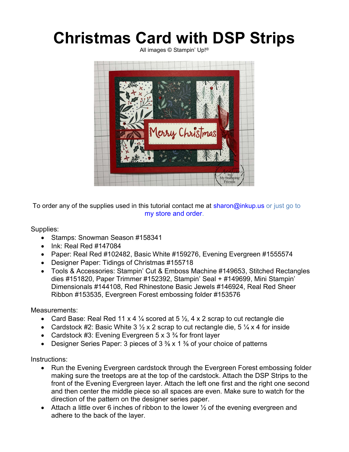## Christmas Card with DSP Strips

All images © Stampin' Up!®



To order any of the supplies used in this tutorial contact me at sharon@inkup.us or just go to my store and order.

Supplies:

- Stamps: Snowman Season #158341
- $\bullet$  Ink: Real Red #147084
- Paper: Real Red #102482, Basic White #159276, Evening Evergreen #1555574
- Designer Paper: Tidings of Christmas #155718
- Tools & Accessories: Stampin' Cut & Emboss Machine #149653, Stitched Rectangles dies #151820, Paper Trimmer #152392, Stampin' Seal + #149699, Mini Stampin' Dimensionals #144108, Red Rhinestone Basic Jewels #146924, Real Red Sheer Ribbon #153535, Evergreen Forest embossing folder #153576

Measurements:

- Card Base: Real Red 11 x 4  $\frac{1}{4}$  scored at 5  $\frac{1}{2}$ , 4 x 2 scrap to cut rectangle die
- Cardstock #2: Basic White 3  $\frac{1}{2}$  x 2 scrap to cut rectangle die, 5  $\frac{1}{4}$  x 4 for inside
- Cardstock #3: Evening Evergreen  $5 \times 3 \frac{3}{4}$  for front layer
- Designer Series Paper: 3 pieces of  $3\frac{3}{8}$  x 1  $\frac{3}{8}$  of your choice of patterns

Instructions:

- Run the Evening Evergreen cardstock through the Evergreen Forest embossing folder making sure the treetops are at the top of the cardstock. Attach the DSP Strips to the front of the Evening Evergreen layer. Attach the left one first and the right one second and then center the middle piece so all spaces are even. Make sure to watch for the direction of the pattern on the designer series paper.
- Attach a little over 6 inches of ribbon to the lower  $\frac{1}{2}$  of the evening evergreen and adhere to the back of the layer.